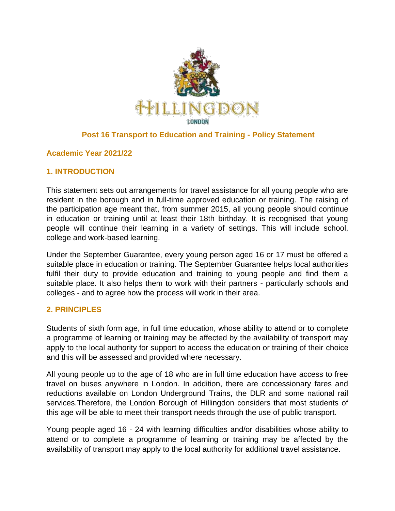

## **Post 16 Transport to Education and Training - Policy Statement**

### **Academic Year 2021/22**

### **1. INTRODUCTION**

This statement sets out arrangements for travel assistance for all young people who are resident in the borough and in full-time approved education or training. The raising of the participation age meant that, from summer 2015, all young people should continue in education or training until at least their 18th birthday. It is recognised that young people will continue their learning in a variety of settings. This will include school, college and work-based learning.

Under the September Guarantee, every young person aged 16 or 17 must be offered a suitable place in education or training. The September Guarantee helps local authorities fulfil their duty to provide education and training to young people and find them a suitable place. It also helps them to work with their partners - particularly schools and colleges - and to agree how the process will work in their area.

#### **2. PRINCIPLES**

Students of sixth form age, in full time education, whose ability to attend or to complete a programme of learning or training may be affected by the availability of transport may apply to the local authority for support to access the education or training of their choice and this will be assessed and provided where necessary.

All young people up to the age of 18 who are in full time education have access to free travel on buses anywhere in London. In addition, there are concessionary fares and reductions available on London Underground Trains, the DLR and some national rail services.Therefore, the London Borough of Hillingdon considers that most students of this age will be able to meet their transport needs through the use of public transport.

Young people aged 16 - 24 with learning difficulties and/or disabilities whose ability to attend or to complete a programme of learning or training may be affected by the availability of transport may apply to the local authority for additional travel assistance.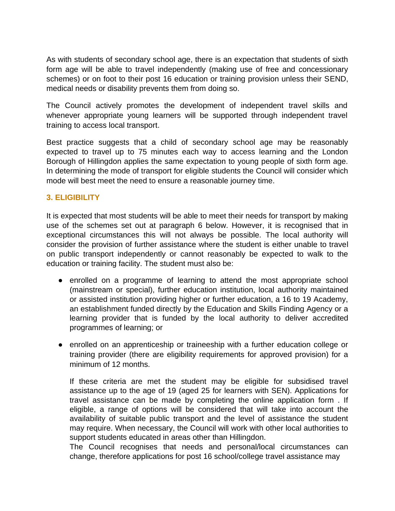As with students of secondary school age, there is an expectation that students of sixth form age will be able to travel independently (making use of free and concessionary schemes) or on foot to their post 16 education or training provision unless their SEND, medical needs or disability prevents them from doing so.

The Council actively promotes the development of independent travel skills and whenever appropriate young learners will be supported through independent travel training to access local transport.

Best practice suggests that a child of secondary school age may be reasonably expected to travel up to 75 minutes each way to access learning and the London Borough of Hillingdon applies the same expectation to young people of sixth form age. In determining the mode of transport for eligible students the Council will consider which mode will best meet the need to ensure a reasonable journey time.

#### **3. ELIGIBILITY**

It is expected that most students will be able to meet their needs for transport by making use of the schemes set out at paragraph 6 below. However, it is recognised that in exceptional circumstances this will not always be possible. The local authority will consider the provision of further assistance where the student is either unable to travel on public transport independently or cannot reasonably be expected to walk to the education or training facility. The student must also be:

- enrolled on a programme of learning to attend the most appropriate school (mainstream or special), further education institution, local authority maintained or assisted institution providing higher or further education, a 16 to 19 Academy, an establishment funded directly by the Education and Skills Finding Agency or a learning provider that is funded by the local authority to deliver accredited programmes of learning; or
- enrolled on an apprenticeship or traineeship with a further education college or training provider (there are eligibility requirements for approved provision) for a minimum of 12 months.

If these criteria are met the student may be eligible for subsidised travel assistance up to the age of 19 (aged 25 for learners with SEN). Applications for travel assistance can be made by completing the online application form . If eligible, a range of options will be considered that will take into account the availability of suitable public transport and the level of assistance the student may require. When necessary, the Council will work with other local authorities to support students educated in areas other than Hillingdon.

The Council recognises that needs and personal/local circumstances can change, therefore applications for post 16 school/college travel assistance may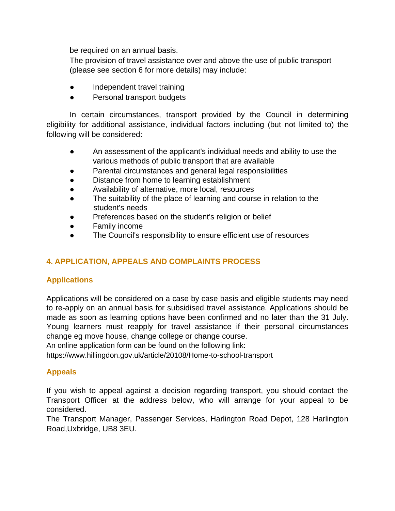be required on an annual basis.

The provision of travel assistance over and above the use of public transport (please see section 6 for more details) may include:

- Independent travel training
- Personal transport budgets

In certain circumstances, transport provided by the Council in determining eligibility for additional assistance, individual factors including (but not limited to) the following will be considered:

- An assessment of the applicant's individual needs and ability to use the various methods of public transport that are available
- Parental circumstances and general legal responsibilities
- Distance from home to learning establishment
- Availability of alternative, more local, resources
- The suitability of the place of learning and course in relation to the student's needs
- Preferences based on the student's religion or belief
- Family income
- The Council's responsibility to ensure efficient use of resources

## **4. APPLICATION, APPEALS AND COMPLAINTS PROCESS**

### **Applications**

Applications will be considered on a case by case basis and eligible students may need to re-apply on an annual basis for subsidised travel assistance. Applications should be made as soon as learning options have been confirmed and no later than the 31 July. Young learners must reapply for travel assistance if their personal circumstances change eg move house, change college or change course.

An online application form can be found on the following link:

https://www.hillingdon.gov.uk/article/20108/Home-to-school-transport

## **Appeals**

If you wish to appeal against a decision regarding transport, you should contact the Transport Officer at the address below, who will arrange for your appeal to be considered.

The Transport Manager, Passenger Services, Harlington Road Depot, 128 Harlington Road,Uxbridge, UB8 3EU.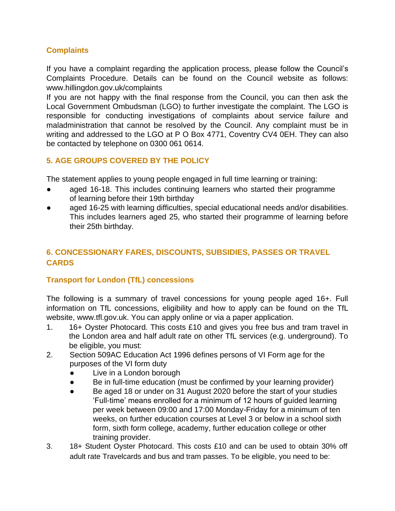## **Complaints**

If you have a complaint regarding the application process, please follow the Council's Complaints Procedure. Details can be found on the Council website as follows: www.hillingdon.gov.uk/complaints

If you are not happy with the final response from the Council, you can then ask the Local Government Ombudsman (LGO) to further investigate the complaint. The LGO is responsible for conducting investigations of complaints about service failure and maladministration that cannot be resolved by the Council. Any complaint must be in writing and addressed to the LGO at P O Box 4771, Coventry CV4 0EH. They can also be contacted by telephone on 0300 061 0614.

## **5. AGE GROUPS COVERED BY THE POLICY**

The statement applies to young people engaged in full time learning or training:

- aged 16-18. This includes continuing learners who started their programme of learning before their 19th birthday
- aged 16-25 with learning difficulties, special educational needs and/or disabilities. This includes learners aged 25, who started their programme of learning before their 25th birthday.

# **6. CONCESSIONARY FARES, DISCOUNTS, SUBSIDIES, PASSES OR TRAVEL CARDS**

## **Transport for London (TfL) concessions**

The following is a summary of travel concessions for young people aged 16+. Full information on TfL concessions, eligibility and how to apply can be found on the TfL website, www.tfl.gov.uk. You can apply online or via a paper application.

- 1. 16+ Oyster Photocard. This costs £10 and gives you free bus and tram travel in the London area and half adult rate on other TfL services (e.g. underground). To be eligible, you must:
- 2. Section 509AC Education Act 1996 defines persons of VI Form age for the purposes of the VI form duty
	- Live in a London borough
	- Be in full-time education (must be confirmed by your learning provider)
	- Be aged 18 or under on 31 August 2020 before the start of your studies 'Full-time' means enrolled for a minimum of 12 hours of guided learning per week between 09:00 and 17:00 Monday-Friday for a minimum of ten weeks, on further education courses at Level 3 or below in a school sixth form, sixth form college, academy, further education college or other training provider.
- 3. 18+ Student Oyster Photocard. This costs £10 and can be used to obtain 30% off adult rate Travelcards and bus and tram passes. To be eligible, you need to be: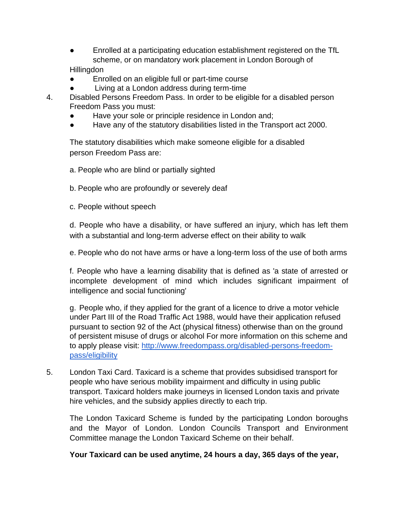- Enrolled at a participating education establishment registered on the TfL scheme, or on mandatory work placement in London Borough of **Hillingdon**
- Enrolled on an eligible full or part-time course
- Living at a London address during term-time
- 4. Disabled Persons Freedom Pass. In order to be eligible for a disabled person Freedom Pass you must:
	- Have your sole or principle residence in London and;
	- Have any of the statutory disabilities listed in the Transport act 2000.

The statutory disabilities which make someone eligible for a disabled person Freedom Pass are:

- a. People who are blind or partially sighted
- b. People who are profoundly or severely deaf
- c. People without speech

d. People who have a disability, or have suffered an injury, which has left them with a substantial and long-term adverse effect on their ability to walk

e. People who do not have arms or have a long-term loss of the use of both arms

f. People who have a learning disability that is defined as 'a state of arrested or incomplete development of mind which includes significant impairment of intelligence and social functioning'

g. People who, if they applied for the grant of a licence to drive a motor vehicle under Part III of the Road Traffic Act 1988, would have their application refused pursuant to section 92 of the Act (physical fitness) otherwise than on the ground of persistent misuse of drugs or alcohol For more information on this scheme and to apply please visit: [http://www.freedompass.org/disabled-persons-freedom](http://www.freedompass.org/disabled-persons-freedom-pass/eligibility)[pass/eligibility](http://www.freedompass.org/disabled-persons-freedom-pass/eligibility)

5. London Taxi Card. Taxicard is a scheme that provides subsidised transport for people who have serious mobility impairment and difficulty in using public transport. Taxicard holders make journeys in licensed London taxis and private hire vehicles, and the subsidy applies directly to each trip.

The London Taxicard Scheme is funded by the participating London boroughs and the Mayor of London. London Councils Transport and Environment Committee manage the London Taxicard Scheme on their behalf.

**Your Taxicard can be used anytime, 24 hours a day, 365 days of the year,**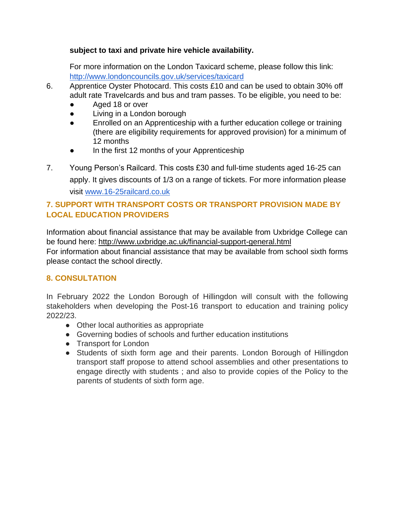### **subject to taxi and private hire vehicle availability.**

For more information on the London Taxicard scheme, please follow this link: <http://www.londoncouncils.gov.uk/services/taxicard>

- 6. Apprentice Oyster Photocard. This costs £10 and can be used to obtain 30% off adult rate Travelcards and bus and tram passes. To be eligible, you need to be:
	- Aged 18 or over
	- Living in a London borough
	- Enrolled on an Apprenticeship with a further education college or training (there are eligibility requirements for approved provision) for a minimum of 12 months
	- In the first 12 months of your Apprenticeship
- 7. Young Person's Railcard. This costs £30 and full-time students aged 16-25 can apply. It gives discounts of 1/3 on a range of tickets. For more information please visit [www.16-25railcard.co.uk](http://www.16-25railcard.co.uk/)

# **7. SUPPORT WITH TRANSPORT COSTS OR TRANSPORT PROVISION MADE BY LOCAL EDUCATION PROVIDERS**

Information about financial assistance that may be available from Uxbridge College can be found here: http://www.uxbridge.ac.uk/financial-support-general.html

For information about financial assistance that may be available from school sixth forms please contact the school directly.

## **8. CONSULTATION**

In February 2022 the London Borough of Hillingdon will consult with the following stakeholders when developing the Post-16 transport to education and training policy 2022/23.

- Other local authorities as appropriate
- Governing bodies of schools and further education institutions
- Transport for London
- Students of sixth form age and their parents. London Borough of Hillingdon transport staff propose to attend school assemblies and other presentations to engage directly with students ; and also to provide copies of the Policy to the parents of students of sixth form age.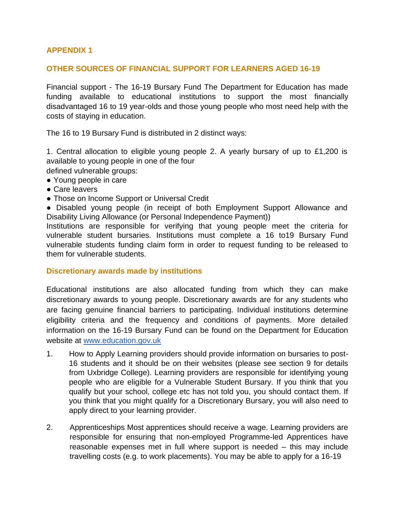### **APPENDIX 1**

#### **OTHER SOURCES OF FINANCIAL SUPPORT FOR LEARNERS AGED 16-19**

Financial support - The 16-19 Bursary Fund The Department for Education has made funding available to educational institutions to support the most financially disadvantaged 16 to 19 year-olds and those young people who most need help with the costs of staying in education.

The 16 to 19 Bursary Fund is distributed in 2 distinct ways:

1. Central allocation to eligible young people 2. A yearly bursary of up to £1,200 is available to young people in one of the four

- defined vulnerable groups: ● Young people in care
- 
- Care leavers
- Those on Income Support or Universal Credit

● Disabled young people (in receipt of both Employment Support Allowance and Disability Living Allowance (or Personal Independence Payment))

Institutions are responsible for verifying that young people meet the criteria for vulnerable student bursaries. Institutions must complete a 16 to19 Bursary Fund vulnerable students funding claim form in order to request funding to be released to them for vulnerable students.

#### **Discretionary awards made by institutions**

Educational institutions are also allocated funding from which they can make discretionary awards to young people. Discretionary awards are for any students who are facing genuine financial barriers to participating. Individual institutions determine eligibility criteria and the frequency and conditions of payments. More detailed information on the 16-19 Bursary Fund can be found on the Department for Education website at [www.education.gov.uk](http://www.education.gov.uk/)

- 1. How to Apply Learning providers should provide information on bursaries to post-16 students and it should be on their websites (please see section 9 for details from Uxbridge College). Learning providers are responsible for identifying young people who are eligible for a Vulnerable Student Bursary. If you think that you qualify but your school, college etc has not told you, you should contact them. If you think that you might qualify for a Discretionary Bursary, you will also need to apply direct to your learning provider.
- 2. Apprenticeships Most apprentices should receive a wage. Learning providers are responsible for ensuring that non-employed Programme-led Apprentices have reasonable expenses met in full where support is needed – this may include travelling costs (e.g. to work placements). You may be able to apply for a 16-19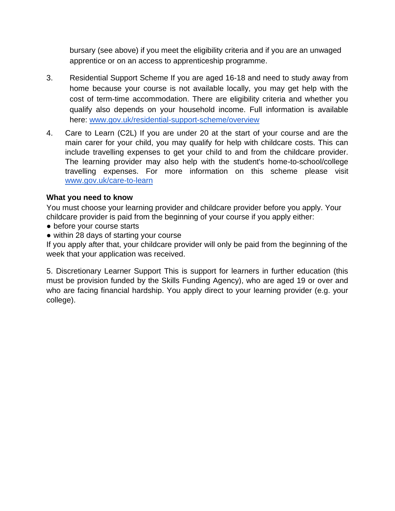bursary (see above) if you meet the eligibility criteria and if you are an unwaged apprentice or on an access to apprenticeship programme.

- 3. Residential Support Scheme If you are aged 16-18 and need to study away from home because your course is not available locally, you may get help with the cost of term-time accommodation. There are eligibility criteria and whether you qualify also depends on your household income. Full information is available here: [www.gov.uk/residential-support-scheme/overview](http://www.gov.uk/residential-support-scheme/overview)
- 4. Care to Learn (C2L) If you are under 20 at the start of your course and are the main carer for your child, you may qualify for help with childcare costs. This can include travelling expenses to get your child to and from the childcare provider. The learning provider may also help with the student's home-to-school/college travelling expenses. For more information on this scheme please visit [www.gov.uk/care-to-learn](http://www.gov.uk/care-to-learn)

### **What you need to know**

You must choose your learning provider and childcare provider before you apply. Your childcare provider is paid from the beginning of your course if you apply either:

- before your course starts
- within 28 days of starting your course

If you apply after that, your childcare provider will only be paid from the beginning of the week that your application was received.

5. Discretionary Learner Support This is support for learners in further education (this must be provision funded by the Skills Funding Agency), who are aged 19 or over and who are facing financial hardship. You apply direct to your learning provider (e.g. your college).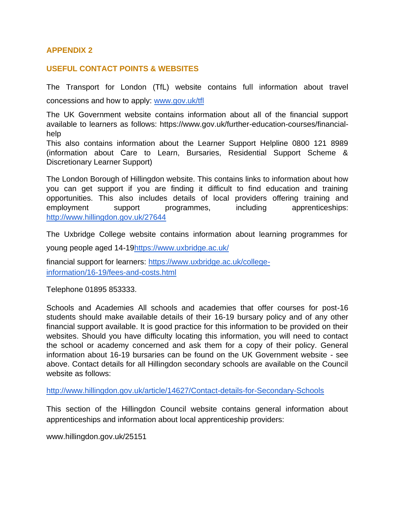### **APPENDIX 2**

#### **USEFUL CONTACT POINTS & WEBSITES**

The Transport for London (TfL) website contains full information about travel concessions and how to apply: [www.gov.uk/tfl](http://www.gov.uk/tfl)

The UK Government website contains information about all of the financial support available to learners as follows: https://www.gov.uk/further-education-courses/financialhelp

This also contains information about the Learner Support Helpline 0800 121 8989 (information about Care to Learn, Bursaries, Residential Support Scheme & Discretionary Learner Support)

The London Borough of Hillingdon website. This contains links to information about how you can get support if you are finding it difficult to find education and training opportunities. This also includes details of local providers offering training and employment support programmes, including apprenticeships: <http://www.hillingdon.gov.uk/27644>

The Uxbridge College website contains information about learning programmes for

young people aged 14-1[9https://www.uxbridge.ac.uk/](https://www.uxbridge.ac.uk/)

financial support for learners: [https://www.uxbridge.ac.uk/college](https://www.uxbridge.ac.uk/college-information/16-19/fees-and-costs.html)[information/16-19/fees-and-costs.html](https://www.uxbridge.ac.uk/college-information/16-19/fees-and-costs.html)

Telephone 01895 853333.

Schools and Academies All schools and academies that offer courses for post-16 students should make available details of their 16-19 bursary policy and of any other financial support available. It is good practice for this information to be provided on their websites. Should you have difficulty locating this information, you will need to contact the school or academy concerned and ask them for a copy of their policy. General information about 16-19 bursaries can be found on the UK Government website - see above. Contact details for all Hillingdon secondary schools are available on the Council website as follows:

<http://www.hillingdon.gov.uk/article/14627/Contact-details-for-Secondary-Schools>

This section of the Hillingdon Council website contains general information about apprenticeships and information about local apprenticeship providers:

www.hillingdon.gov.uk/25151